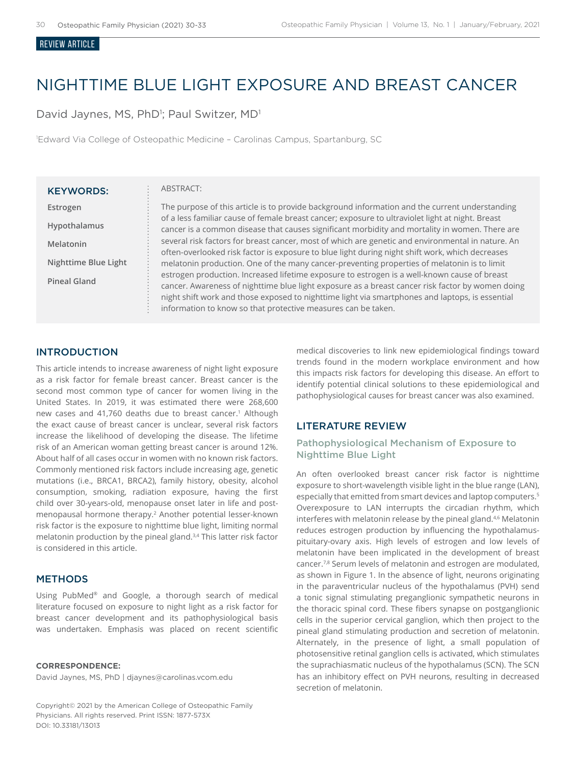#### Review ARTICLE

# NIGHTTIME BLUE LIGHT EXPOSURE AND BREAST CANCER

David Jaynes, MS, PhD<sup>1</sup>; Paul Switzer, MD<sup>1</sup>

1 Edward Via College of Osteopathic Medicine – Carolinas Campus, Spartanburg, SC

#### KEYWORDS:

**Estrogen Hypothalamus Melatonin Nighttime Blue Light Pineal Gland**

#### ABSTRACT:

The purpose of this article is to provide background information and the current understanding of a less familiar cause of female breast cancer; exposure to ultraviolet light at night. Breast cancer is a common disease that causes significant morbidity and mortality in women. There are several risk factors for breast cancer, most of which are genetic and environmental in nature. An often-overlooked risk factor is exposure to blue light during night shift work, which decreases melatonin production. One of the many cancer-preventing properties of melatonin is to limit estrogen production. Increased lifetime exposure to estrogen is a well-known cause of breast cancer. Awareness of nighttime blue light exposure as a breast cancer risk factor by women doing night shift work and those exposed to nighttime light via smartphones and laptops, is essential information to know so that protective measures can be taken.

#### INTRODUCTION

This article intends to increase awareness of night light exposure as a risk factor for female breast cancer. Breast cancer is the second most common type of cancer for women living in the United States. In 2019, it was estimated there were 268,600 new cases and 41,760 deaths due to breast cancer.<sup>1</sup> Although the exact cause of breast cancer is unclear, several risk factors increase the likelihood of developing the disease. The lifetime risk of an American woman getting breast cancer is around 12%. About half of all cases occur in women with no known risk factors. Commonly mentioned risk factors include increasing age, genetic mutations (i.e., BRCA1, BRCA2), family history, obesity, alcohol consumption, smoking, radiation exposure, having the first child over 30-years-old, menopause onset later in life and postmenopausal hormone therapy.<sup>2</sup> Another potential lesser-known risk factor is the exposure to nighttime blue light, limiting normal melatonin production by the pineal gland.<sup>3,4</sup> This latter risk factor is considered in this article.

## **METHODS**

Using PubMed® and Google, a thorough search of medical literature focused on exposure to night light as a risk factor for breast cancer development and its pathophysiological basis was undertaken. Emphasis was placed on recent scientific

#### **CORRESPONDENCE:**

David Jaynes, MS, PhD | djaynes@carolinas.vcom.edu

Copyright© 2021 by the American College of Osteopathic Family Physicians. All rights reserved. Print ISSN: 1877-573X DOI: 10.33181/13013

medical discoveries to link new epidemiological findings toward trends found in the modern workplace environment and how this impacts risk factors for developing this disease. An effort to identify potential clinical solutions to these epidemiological and pathophysiological causes for breast cancer was also examined.

## LITERATURE REVIEW

### Pathophysiological Mechanism of Exposure to Nighttime Blue Light

An often overlooked breast cancer risk factor is nighttime exposure to short-wavelength visible light in the blue range (LAN), especially that emitted from smart devices and laptop computers.<sup>5</sup> Overexposure to LAN interrupts the circadian rhythm, which interferes with melatonin release by the pineal gland.<sup>4,6</sup> Melatonin reduces estrogen production by influencing the hypothalamuspituitary-ovary axis. High levels of estrogen and low levels of melatonin have been implicated in the development of breast cancer.7,8 Serum levels of melatonin and estrogen are modulated, as shown in Figure 1. In the absence of light, neurons originating in the paraventricular nucleus of the hypothalamus (PVH) send a tonic signal stimulating preganglionic sympathetic neurons in the thoracic spinal cord. These fibers synapse on postganglionic cells in the superior cervical ganglion, which then project to the pineal gland stimulating production and secretion of melatonin. Alternately, in the presence of light, a small population of photosensitive retinal ganglion cells is activated, which stimulates the suprachiasmatic nucleus of the hypothalamus (SCN). The SCN has an inhibitory effect on PVH neurons, resulting in decreased secretion of melatonin.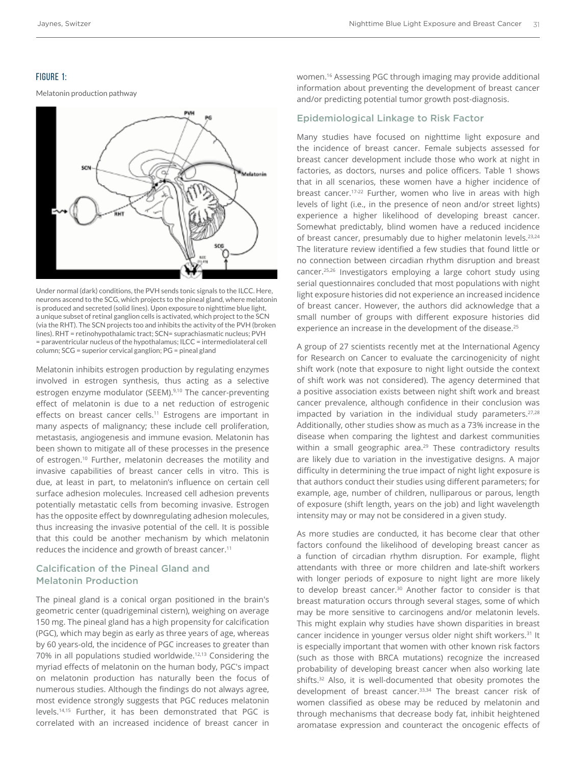## FIGURE 1:

Melatonin production pathway



Under normal (dark) conditions, the PVH sends tonic signals to the ILCC. Here, neurons ascend to the SCG, which projects to the pineal gland, where melatonin is produced and secreted (solid lines). Upon exposure to nighttime blue light, a unique subset of retinal ganglion cells is activated, which project to the SCN (via the RHT). The SCN projects too and inhibits the activity of the PVH (broken lines). RHT = retinohypothalamic tract; SCN= suprachiasmatic nucleus; PVH = paraventricular nucleus of the hypothalamus; ILCC = intermediolateral cell column; SCG = superior cervical ganglion; PG = pineal gland

Melatonin inhibits estrogen production by regulating enzymes involved in estrogen synthesis, thus acting as a selective estrogen enzyme modulator (SEEM).<sup>9,10</sup> The cancer-preventing effect of melatonin is due to a net reduction of estrogenic effects on breast cancer cells.<sup>11</sup> Estrogens are important in many aspects of malignancy; these include cell proliferation, metastasis, angiogenesis and immune evasion. Melatonin has been shown to mitigate all of these processes in the presence of estrogen.<sup>10</sup> Further, melatonin decreases the motility and invasive capabilities of breast cancer cells in vitro. This is due, at least in part, to melatonin's influence on certain cell surface adhesion molecules. Increased cell adhesion prevents potentially metastatic cells from becoming invasive. Estrogen has the opposite effect by downregulating adhesion molecules, thus increasing the invasive potential of the cell. It is possible that this could be another mechanism by which melatonin reduces the incidence and growth of breast cancer.<sup>11</sup>

# Calcification of the Pineal Gland and Melatonin Production

The pineal gland is a conical organ positioned in the brain's geometric center (quadrigeminal cistern), weighing on average 150 mg. The pineal gland has a high propensity for calcification (PGC), which may begin as early as three years of age, whereas by 60 years-old, the incidence of PGC increases to greater than 70% in all populations studied worldwide.12,13 Considering the myriad effects of melatonin on the human body, PGC's impact on melatonin production has naturally been the focus of numerous studies. Although the findings do not always agree, most evidence strongly suggests that PGC reduces melatonin levels.14,15 Further, it has been demonstrated that PGC is correlated with an increased incidence of breast cancer in

women.16 Assessing PGC through imaging may provide additional information about preventing the development of breast cancer and/or predicting potential tumor growth post-diagnosis.

## Epidemiological Linkage to Risk Factor

Many studies have focused on nighttime light exposure and the incidence of breast cancer. Female subjects assessed for breast cancer development include those who work at night in factories, as doctors, nurses and police officers. Table 1 shows that in all scenarios, these women have a higher incidence of breast cancer.17-22 Further, women who live in areas with high levels of light (i.e., in the presence of neon and/or street lights) experience a higher likelihood of developing breast cancer. Somewhat predictably, blind women have a reduced incidence of breast cancer, presumably due to higher melatonin levels.<sup>23,24</sup> The literature review identified a few studies that found little or no connection between circadian rhythm disruption and breast cancer.25,26 Investigators employing a large cohort study using serial questionnaires concluded that most populations with night light exposure histories did not experience an increased incidence of breast cancer. However, the authors did acknowledge that a small number of groups with different exposure histories did experience an increase in the development of the disease.<sup>25</sup>

A group of 27 scientists recently met at the International Agency for Research on Cancer to evaluate the carcinogenicity of night shift work (note that exposure to night light outside the context of shift work was not considered). The agency determined that a positive association exists between night shift work and breast cancer prevalence, although confidence in their conclusion was impacted by variation in the individual study parameters.<sup>27,28</sup> Additionally, other studies show as much as a 73% increase in the disease when comparing the lightest and darkest communities within a small geographic area.<sup>29</sup> These contradictory results are likely due to variation in the investigative designs. A major difficulty in determining the true impact of night light exposure is that authors conduct their studies using different parameters; for example, age, number of children, nulliparous or parous, length of exposure (shift length, years on the job) and light wavelength intensity may or may not be considered in a given study.

As more studies are conducted, it has become clear that other factors confound the likelihood of developing breast cancer as a function of circadian rhythm disruption. For example, flight attendants with three or more children and late-shift workers with longer periods of exposure to night light are more likely to develop breast cancer.30 Another factor to consider is that breast maturation occurs through several stages, some of which may be more sensitive to carcinogens and/or melatonin levels. This might explain why studies have shown disparities in breast cancer incidence in younger versus older night shift workers.<sup>31</sup> It is especially important that women with other known risk factors (such as those with BRCA mutations) recognize the increased probability of developing breast cancer when also working late shifts.<sup>32</sup> Also, it is well-documented that obesity promotes the development of breast cancer.<sup>33,34</sup> The breast cancer risk of women classified as obese may be reduced by melatonin and through mechanisms that decrease body fat, inhibit heightened aromatase expression and counteract the oncogenic effects of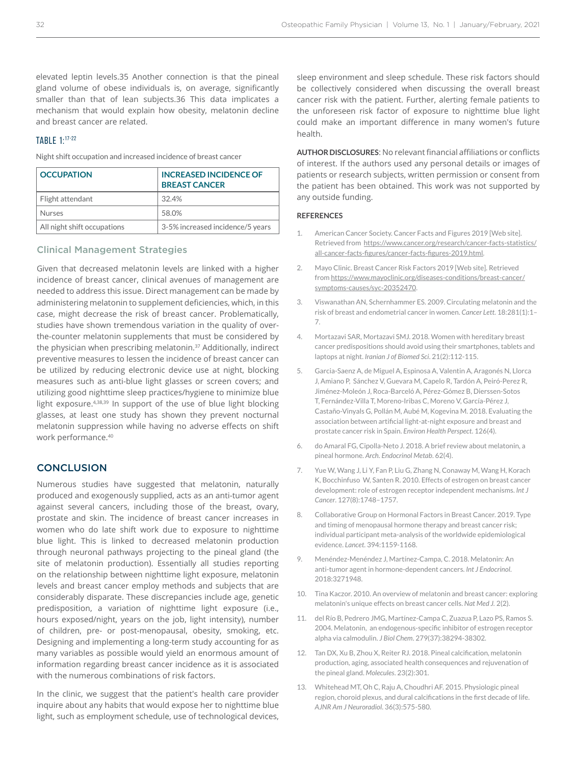elevated leptin levels.35 Another connection is that the pineal gland volume of obese individuals is, on average, significantly smaller than that of lean subjects.36 This data implicates a mechanism that would explain how obesity, melatonin decline and breast cancer are related.

# TABLE 1:17-22

Night shift occupation and increased incidence of breast cancer

| <b>OCCUPATION</b>           | <b>INCREASED INCIDENCE OF</b><br><b>BREAST CANCER</b> |
|-----------------------------|-------------------------------------------------------|
| Flight attendant            | 32.4%                                                 |
| <b>Nurses</b>               | 58.0%                                                 |
| All night shift occupations | 3-5% increased incidence/5 years                      |

#### Clinical Management Strategies

Given that decreased melatonin levels are linked with a higher incidence of breast cancer, clinical avenues of management are needed to address this issue. Direct management can be made by administering melatonin to supplement deficiencies, which, in this case, might decrease the risk of breast cancer. Problematically, studies have shown tremendous variation in the quality of overthe-counter melatonin supplements that must be considered by the physician when prescribing melatonin.<sup>37</sup> Additionally, indirect preventive measures to lessen the incidence of breast cancer can be utilized by reducing electronic device use at night, blocking measures such as anti-blue light glasses or screen covers; and utilizing good nighttime sleep practices/hygiene to minimize blue light exposure.<sup>4,38,39</sup> In support of the use of blue light blocking glasses, at least one study has shown they prevent nocturnal melatonin suppression while having no adverse effects on shift work performance.40

## **CONCLUSION**

Numerous studies have suggested that melatonin, naturally produced and exogenously supplied, acts as an anti-tumor agent against several cancers, including those of the breast, ovary, prostate and skin. The incidence of breast cancer increases in women who do late shift work due to exposure to nighttime blue light. This is linked to decreased melatonin production through neuronal pathways projecting to the pineal gland (the site of melatonin production). Essentially all studies reporting on the relationship between nighttime light exposure, melatonin levels and breast cancer employ methods and subjects that are considerably disparate. These discrepancies include age, genetic predisposition, a variation of nighttime light exposure (i.e., hours exposed/night, years on the job, light intensity), number of children, pre- or post-menopausal, obesity, smoking, etc. Designing and implementing a long-term study accounting for as many variables as possible would yield an enormous amount of information regarding breast cancer incidence as it is associated with the numerous combinations of risk factors.

In the clinic, we suggest that the patient's health care provider inquire about any habits that would expose her to nighttime blue light, such as employment schedule, use of technological devices,

sleep environment and sleep schedule. These risk factors should be collectively considered when discussing the overall breast cancer risk with the patient. Further, alerting female patients to the unforeseen risk factor of exposure to nighttime blue light could make an important difference in many women's future health.

**AUTHOR DISCLOSURES**: No relevant financial affiliations or conflicts of interest. If the authors used any personal details or images of patients or research subjects, written permission or consent from the patient has been obtained. This work was not supported by any outside funding.

#### **REFERENCES**

- 1. American Cancer Society. Cancer Facts and Figures 2019 [Web site]. Retrieved from https://www.cancer.org/research/cancer-facts-statistics/ all-cancer-facts-figures/cancer-facts-figures-2019.html.
- 2. Mayo Clinic. Breast Cancer Risk Factors 2019 [Web site]. Retrieved from https://www.mayoclinic.org/diseases-conditions/breast-cancer/ symptoms-causes/syc-20352470.
- 3. Viswanathan AN, Schernhammer ES. 2009. Circulating melatonin and the risk of breast and endometrial cancer in women. *Cancer Lett*. 18:281(1):1– 7.
- 4. Mortazavi SAR, Mortazavi SMJ. 2018. Women with hereditary breast cancer predispositions should avoid using their smartphones, tablets and laptops at night. *Iranian J of Biomed Sci*. 21(2):112-115.
- 5. Garcia-Saenz A, de Miguel A, Espinosa A, Valentin A, Aragonés N, Llorca J, Amiano P, Sánchez V, Guevara M, Capelo R, Tardón A, Peiró-Perez R, Jiménez-Moleón J, Roca-Barceló A, Pérez-Gómez B, Dierssen-Sotos T, Fernández-Villa T, Moreno-Iribas C, Moreno V, García-Pérez J, Castaño-Vinyals G, Pollán M, Aubé M, Kogevina M. 2018. Evaluating the association between artificial light-at-night exposure and breast and prostate cancer risk in Spain. *Environ Health Perspect*. 126(4).
- 6. do Amaral FG, Cipolla-Neto J. 2018. A brief review about melatonin, a pineal hormone. *Arch. Endocrinol Metab*. 62(4).
- 7. Yue W, Wang J, Li Y, Fan P, Liu G, Zhang N, Conaway M, Wang H, Korach K, Bocchinfuso W, Santen R. 2010. Effects of estrogen on breast cancer development: role of estrogen receptor independent mechanisms. *Int J Cancer*. 127(8):1748–1757.
- 8. Collaborative Group on Hormonal Factors in Breast Cancer. 2019. Type and timing of menopausal hormone therapy and breast cancer risk; individual participant meta-analysis of the worldwide epidemiological evidence. *Lancet*. 394:1159-1168.
- 9. Menéndez-Menéndez J, Martínez-Campa, C. 2018. Melatonin: An anti-tumor agent in hormone-dependent cancers. *Int J Endocrinol*. 2018:3271948.
- 10. Tina Kaczor. 2010. An overview of melatonin and breast cancer: exploring melatonin's unique effects on breast cancer cells. *Nat Med J.* 2(2).
- 11. del Río B, Pedrero JMG, Martínez-Campa C, Zuazua P, Lazo PS, Ramos S. 2004. Melatonin, an endogenous-specific inhibitor of estrogen receptor alpha via calmodulin. *J Biol Chem*. 279(37):38294-38302.
- 12. Tan DX, Xu B, Zhou X, Reiter RJ. 2018. Pineal calcification, melatonin production, aging, associated health consequences and rejuvenation of the pineal gland. *Molecules*. 23(2):301.
- 13. Whitehead MT, Oh C, Raju A, Choudhri AF. 2015. Physiologic pineal region, choroid plexus, and dural calcifications in the first decade of life. *AJNR Am J Neuroradiol*. 36(3):575-580.